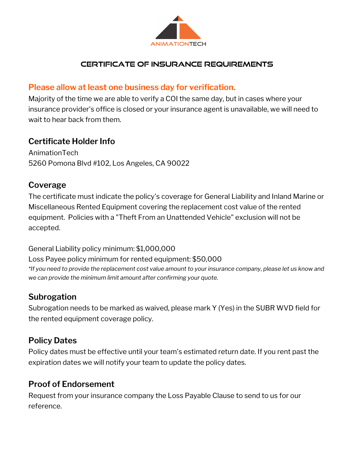

### **certificate of insurance requirements**

### **Please allow at least one business day for verification.**

Majority of the time we are able to verify a COI the same day, but in cases where your insurance provider's office is closed or your insurance agent is unavailable, we will need to wait to hear back from them.

# **Certificate Holder Info**

AnimationTech 5260 Pomona Blvd #102, Los Angeles, CA 90022

### **Coverage**

The certificate must indicate the policy's coverage for General Liability and Inland Marine or Miscellaneous Rented Equipment covering the replacement cost value of the rented equipment. Policies with a "Theft From an Unattended Vehicle" exclusion will not be accepted.

#### General Liability policy minimum: \$1,000,000

Loss Payee policy minimum for rented equipment: \$50,000 *\*If you need to provide the replacement cost value amount to your insurance company, please let us know and we can provide the minimum limit amount after confirming your quote.*

# **Subrogation**

Subrogation needs to be marked as waived, please mark Y (Yes) in the SUBR WVD field for the rented equipment coverage policy.

# **Policy Dates**

Policy dates must be effective until your team's estimated return date. If you rent past the expiration dates we will notify your team to update the policy dates.

### **Proof of Endorsement**

Request from your insurance company the Loss Payable Clause to send to us for our reference.